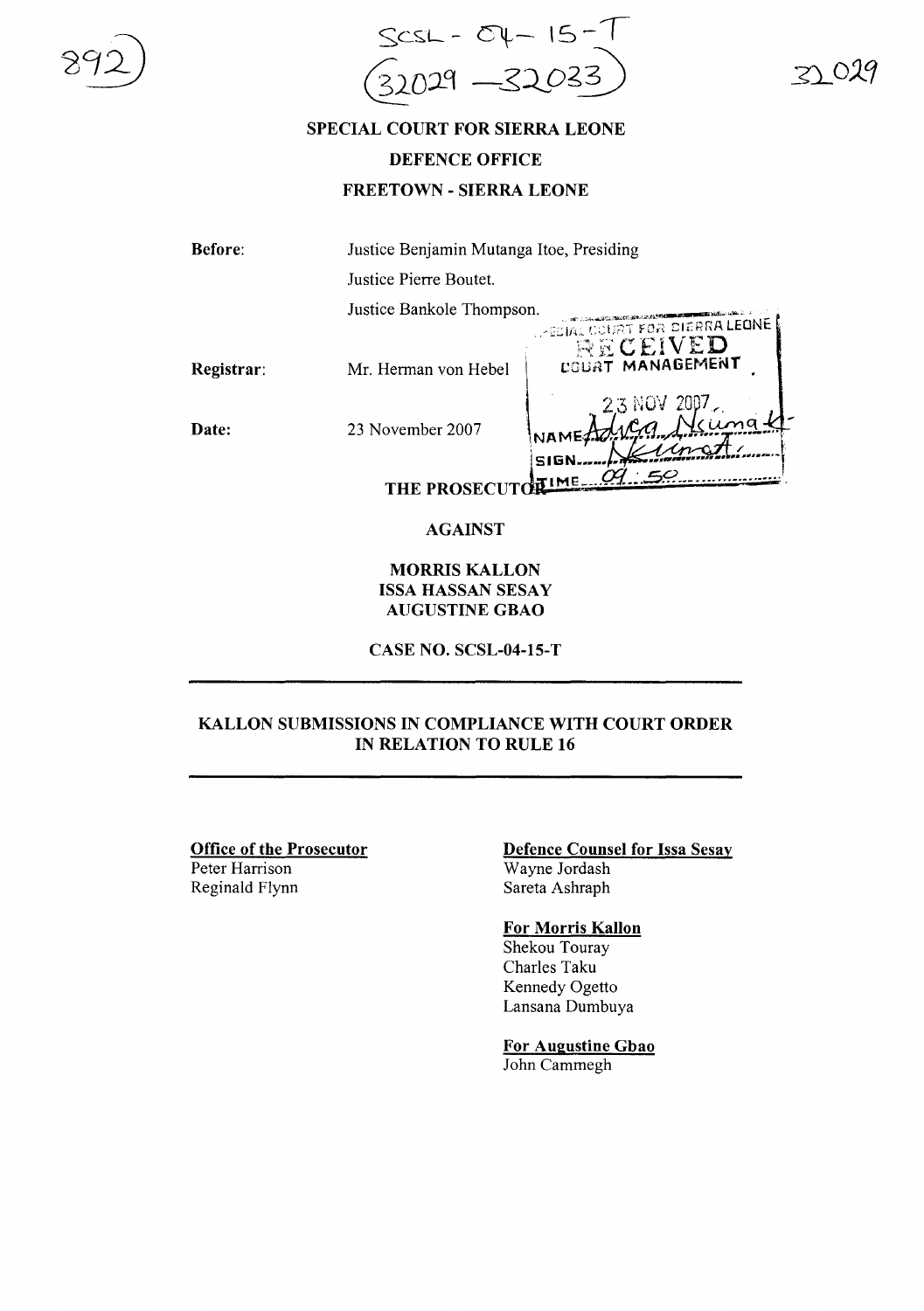

# SPECIAL COURT FOR SIERRA LEONE DEFENCE OFFICE

FREETOWN - SIERRA LEONE

Before: Justice Benjamin Mutanga Hoe, Presiding Justice Pierre Boutet. Justice Bankole Thompson. . .... .. ....." .. \_\_""~""'" . -I~~. c:-·-:-:':~~:""""F··:;' <sup>&</sup>lt;'I ,",.imA LEONE .;.,~;.., J4,.~, r"\,,l;(1. <sup>I</sup> '-"1\ ..~.

Registrar:  $\mathbb{C}\subset \mathbb{E}$ ived Mr. Herman von Hebel | cOURT MANAGEMENT

Date:

23 November 2007

 $SIG$ **IME THE PROSECUTO** 

### AGAINST

#### MORRIS KALLON ISSA HASSAN SESAY AUGUSTINE GBAO

CASE NO. SCSL-04-15-T

### KALLON SUBMISSIONS IN COMPLIANCE WITH COURT ORDER IN RELATION TO RULE 16

## Office of the Prosecutor

Peter Harrison Reginald Flynn

#### Defence Counsel for Issa Sesay Wayne Jordash Sareta Ashraph

### For Morris Kallon

Shekou Touray Charles Taku Kennedy Ogetto Lansana Dumbuya

For Augustine Gbao John Cammegh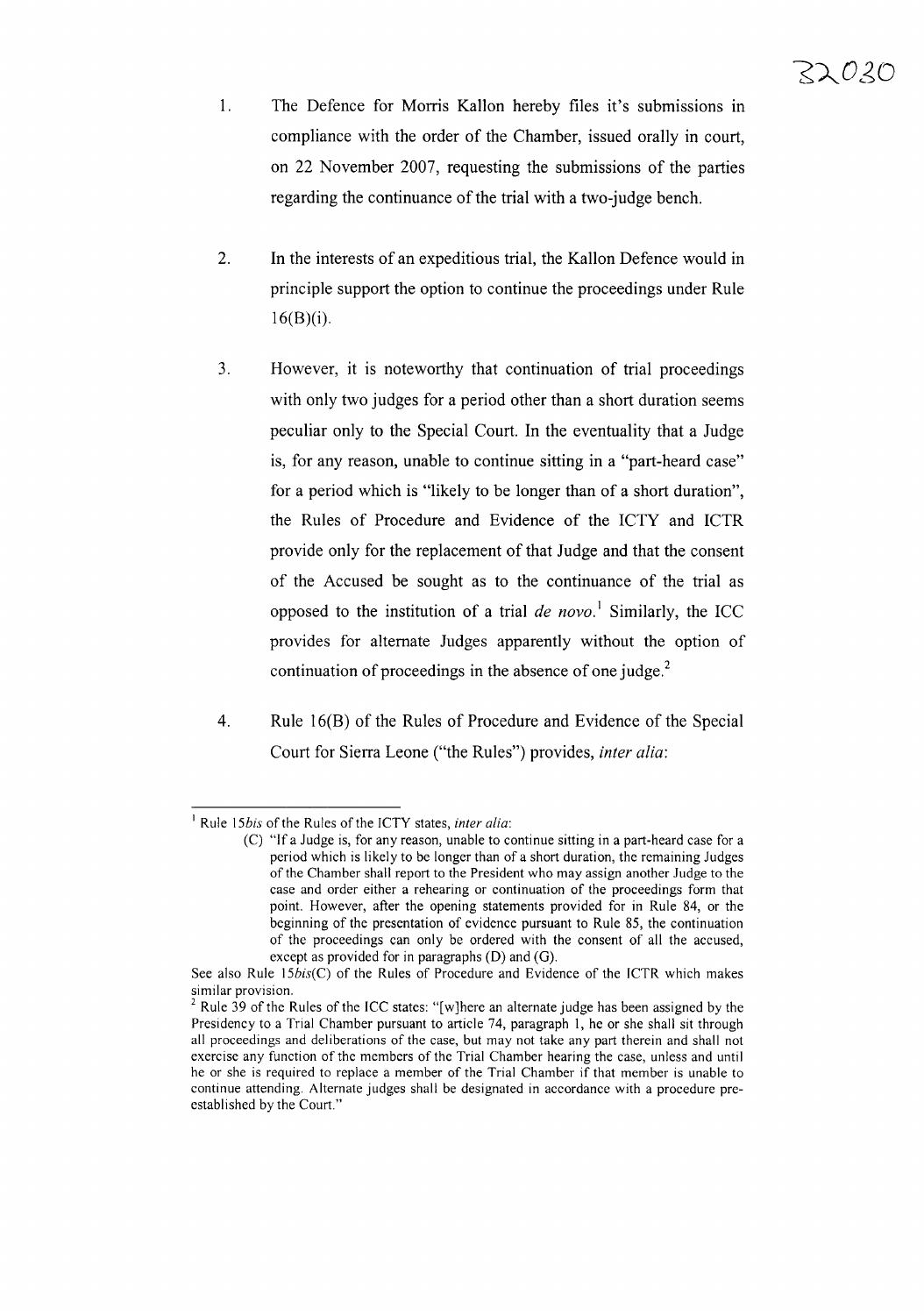- 1. The Defence for Morris Kallon hereby files it's submissions in compliance with the order of the Chamber, issued orally in court, on 22 November 2007, requesting the submissions of the parties regarding the continuance of the trial with a two-judge bench.
- 2. **In** the interests of an expeditious trial, the Kallon Defence would in principle support the option to continue the proceedings under Rule  $16(B)(i)$ .
- 3. However, it is noteworthy that continuation of trial proceedings with only two judges for a period other than a short duration seems peculiar only to the Special Court. **In** the eventuality that a Judge is, for any reason, unable to continue sitting in a "part-heard case" for a period which is "likely to be longer than of a short duration", the Rules of Procedure and Evidence of the ICTY and ICTR provide only for the replacement of that Judge and that the consent of the Accused be sought as to the continuance of the trial as opposed to the institution of a trial *de novo.* <sup>1</sup> Similarly, the ICC provides for alternate Judges apparently without the option of continuation of proceedings in the absence of one judge. $2$
- 4. Rule 16(B) of the Rules of Procedure and Evidence of the Special Court for Sierra Leone ("the Rules") provides, *inter alia:*

<sup>&</sup>lt;sup>1</sup> Rule 15*bis* of the Rules of the ICTY states, *inter alia*:

<sup>(</sup>C) "If a Judge is, for any reason, unable to continue sitting in a part-heard case for a period which is likely to be longer than of a short duration, the remaining Judges of the Chamber shall report to the President who may assign another Judge to the case and order either a rehearing or continuation of the proceedings form that point. However, after the opening statements provided for in Rule 84, or the beginning of the presentation of evidence pursuant to Rule 85, the continuation of the proceedings can only be ordered with the consent of all the accused, except as provided for in paragraphs  $(D)$  and  $(G)$ .

See also Rule *l5bis(C)* of the Rules of Procedure and Evidence of the ICTR which makes similar provision.

 $2$  Rule 39 of the Rules of the ICC states: "[w]here an alternate judge has been assigned by the Presidency to a Trial Chamber pursuant to article 74, paragraph I, he or she shall sit through all proceedings and deliberations of the case, but may not take any part therein and shall not exercise any function of the members of the Trial Chamber hearing the case, unless and until he or she is required to replace a member of the Trial Chamber if that member is unable to continue attending. Alternate judges shall be designated in accordance with a procedure preestablished by the Court."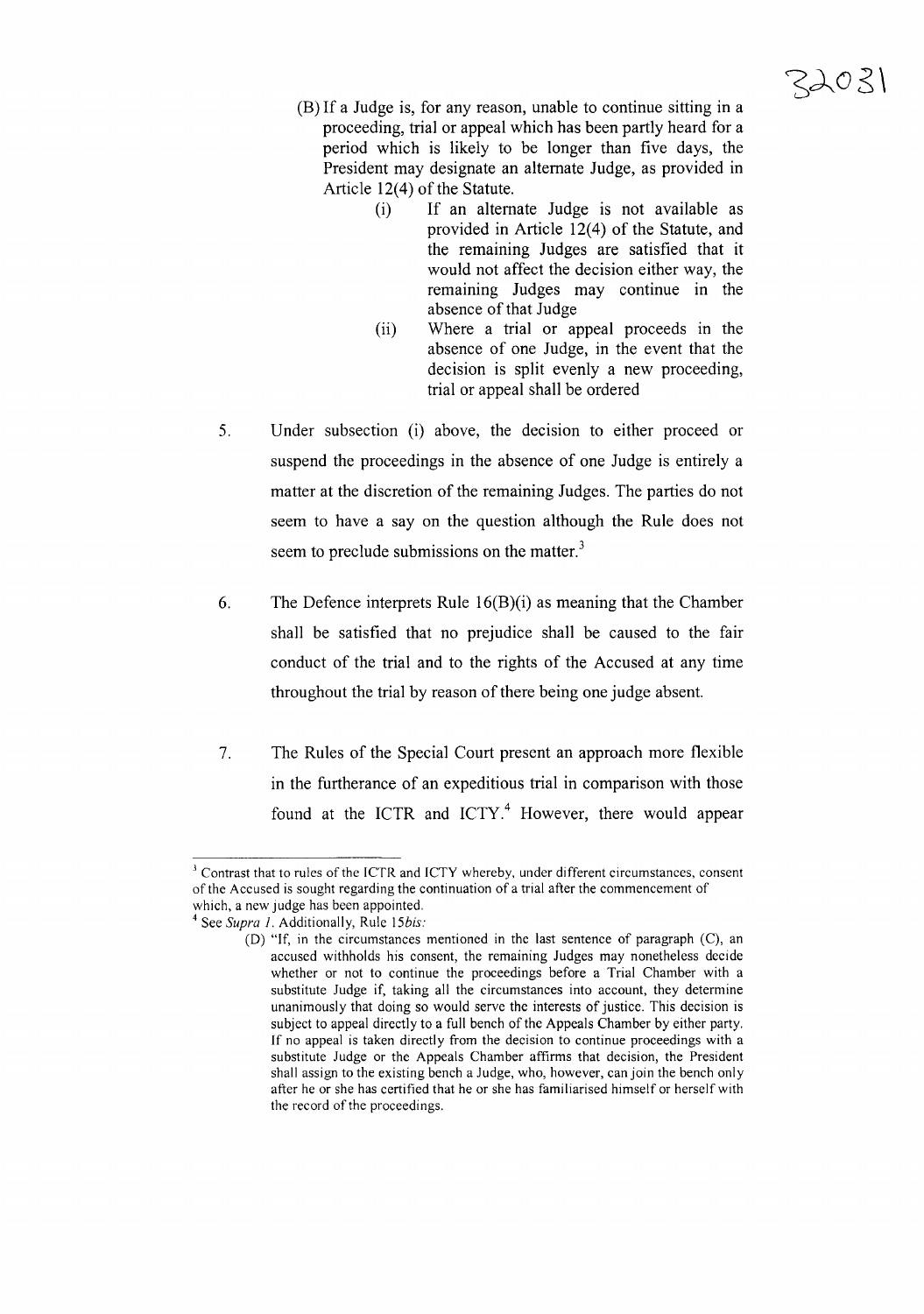- (B) If a Judge is, for any reason, unable to continue sitting in a proceeding, trial or appeal which has been partly heard for a period which is likely to be longer than five days, the President may designate an alternate Judge, as provided in Article  $12(4)$  of the Statute.
	- (i) If an alternate Judge is not available as provided in Article 12(4) of the Statute, and the remaining Judges are satisfied that it would not affect the decision either way, the remaining Judges may continue in the absence of that Judge
	- (ii) Where a trial or appeal proceeds in the absence of one Judge, in the event that the decision is split evenly a new proceeding, trial or appeal shall be ordered
- 5. Under subsection (i) above, the decision to either proceed or suspend the proceedings in the absence of one Judge is entirely a matter at the discretion of the remaining Judges. The parties do not seem to have a say on the question although the Rule does not seem to preclude submissions on the matter. $3$
- 6. The Defence interprets Rule  $16(B)(i)$  as meaning that the Chamber shall be satisfied that no prejudice shall be caused to the fair conduct of the trial and to the rights of the Accused at any time throughout the trial by reason of there being one judge absent.
- 7. The Rules of the Special Court present an approach more flexible in the furtherance of an expeditious trial in comparison with those found at the ICTR and ICTY. $4$  However, there would appear

 $3$  Contrast that to rules of the ICTR and ICTY whereby, under different circumstances, consent of the Accused is sought regarding the continuation of a trial after the commencement of which, a new judge has been appointed.

<sup>4</sup> See *Supra I.* Additionally, Rule *15bis:*

<sup>(</sup>D) "If, in the circumstances mentioned in the last sentence of paragraph (C), an accused withholds his consent, the remaining Judges may nonetheless decide whether or not to continue the proceedings before a Trial Chamber with a substitute Judge if, taking all the circumstances into account, they determine unanimously that doing so would serve the interests of justice. This decision is subject to appeal directly to a full bench of the Appeals Chamber by either party. If no appeal is taken directly from the decision to continue proceedings with a substitute Judge or the Appeals Chamber affirms that decision, the President shall assign to the existing bench a Judge, who, however, can join the bench only after he or she has certified that he or she has familiarised himself or herself with the record of the proceedings.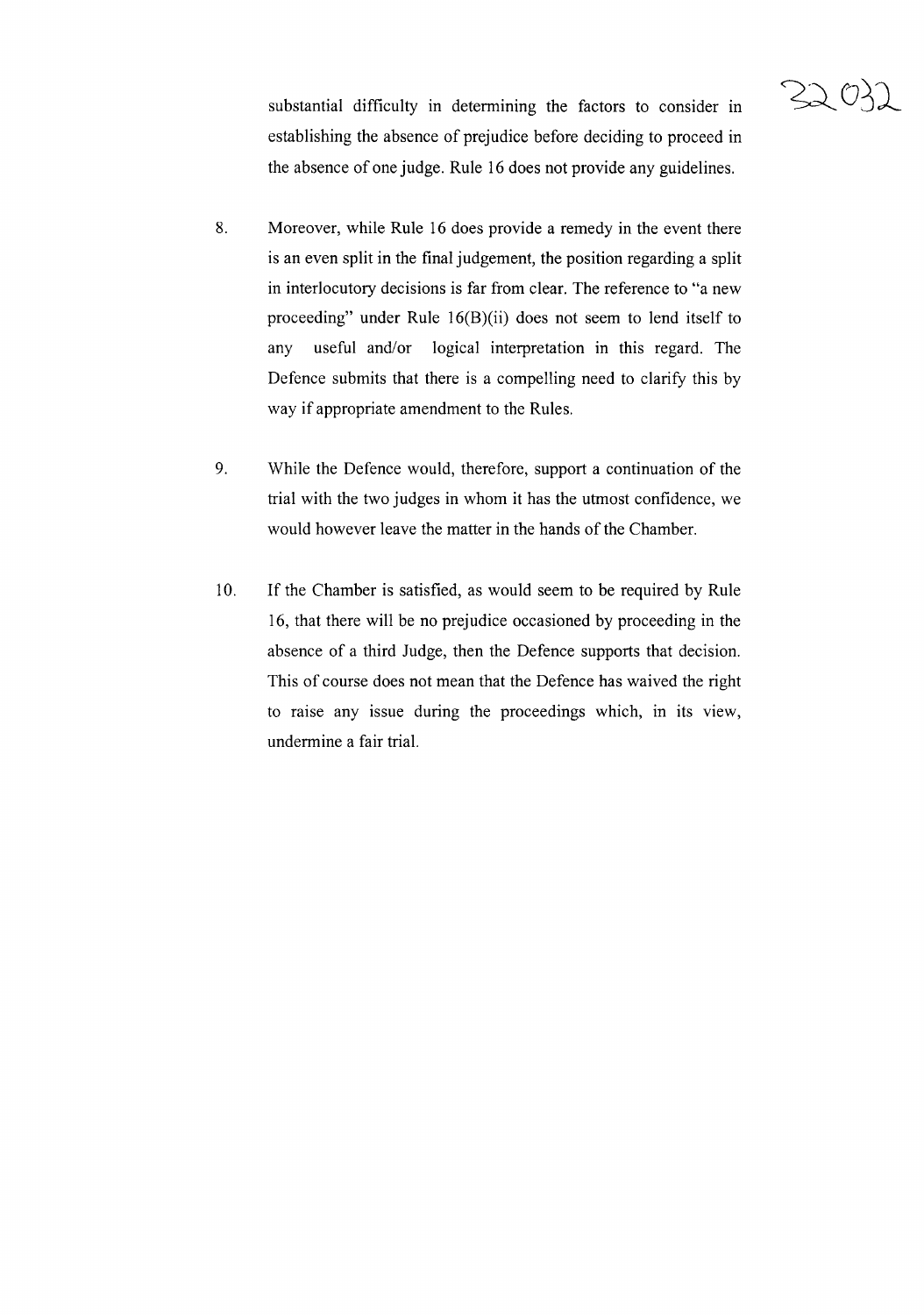

substantial difficulty in determining the factors to consider in establishing the absence of prejudice before deciding to proceed in the absence of one judge. Rule 16 does not provide any guidelines.

- 8. Moreover, while Rule 16 does provide a remedy in the event there is an even split in the final judgement, the position regarding a split in interlocutory decisions is far from clear. The reference to "a new proceeding" under Rule 16(B)(ii) does not seem to lend itself to any useful and/or logical interpretation in this regard. The Defence submits that there is a compelling need to clarify this by way if appropriate amendment to the Rules.
- 9. While the Defence would, therefore, support a continuation of the trial with the two judges in whom it has the utmost confidence, we would however leave the matter in the hands of the Chamber.
- 10. If the Chamber is satisfied, as would seem to be required by Rule 16, that there will be no prejudice occasioned by proceeding in the absence of a third Judge, then the Defence supports that decision. This of course does not mean that the Defence has waived the right to raise any issue during the proceedings which, in its view, undermine a fair trial.